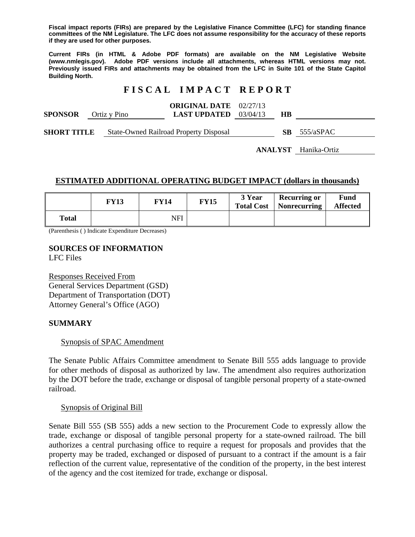**Fiscal impact reports (FIRs) are prepared by the Legislative Finance Committee (LFC) for standing finance committees of the NM Legislature. The LFC does not assume responsibility for the accuracy of these reports if they are used for other purposes.** 

**Current FIRs (in HTML & Adobe PDF formats) are available on the NM Legislative Website (www.nmlegis.gov). Adobe PDF versions include all attachments, whereas HTML versions may not. Previously issued FIRs and attachments may be obtained from the LFC in Suite 101 of the State Capitol Building North.**

# **F I S C A L I M P A C T R E P O R T**

|                    |  |                                               | <b>ORIGINAL DATE</b> 02/27/13  |  |    |                |
|--------------------|--|-----------------------------------------------|--------------------------------|--|----|----------------|
| <b>SPONSOR</b>     |  | Ortiz y Pino                                  | <b>LAST UPDATED</b> $03/04/13$ |  | НB |                |
|                    |  |                                               |                                |  |    |                |
| <b>SHORT TITLE</b> |  | <b>State-Owned Railroad Property Disposal</b> |                                |  |    | $SB$ 555/aSPAC |

**ANALYST** Hanika-Ortiz

#### **ESTIMATED ADDITIONAL OPERATING BUDGET IMPACT (dollars in thousands)**

|       | <b>FY13</b> | <b>FY14</b> | <b>FY15</b> | 3 Year<br><b>Total Cost</b> | <b>Recurring or</b><br>Nonrecurring | Fund<br><b>Affected</b> |
|-------|-------------|-------------|-------------|-----------------------------|-------------------------------------|-------------------------|
| Total |             | NFI         |             |                             |                                     |                         |

(Parenthesis ( ) Indicate Expenditure Decreases)

#### **SOURCES OF INFORMATION**  LFC Files

Responses Received From General Services Department (GSD) Department of Transportation (DOT) Attorney General's Office (AGO)

#### **SUMMARY**

#### Synopsis of SPAC Amendment

The Senate Public Affairs Committee amendment to Senate Bill 555 adds language to provide for other methods of disposal as authorized by law. The amendment also requires authorization by the DOT before the trade, exchange or disposal of tangible personal property of a state-owned railroad.

#### Synopsis of Original Bill

Senate Bill 555 (SB 555) adds a new section to the Procurement Code to expressly allow the trade, exchange or disposal of tangible personal property for a state-owned railroad. The bill authorizes a central purchasing office to require a request for proposals and provides that the property may be traded, exchanged or disposed of pursuant to a contract if the amount is a fair reflection of the current value, representative of the condition of the property, in the best interest of the agency and the cost itemized for trade, exchange or disposal.